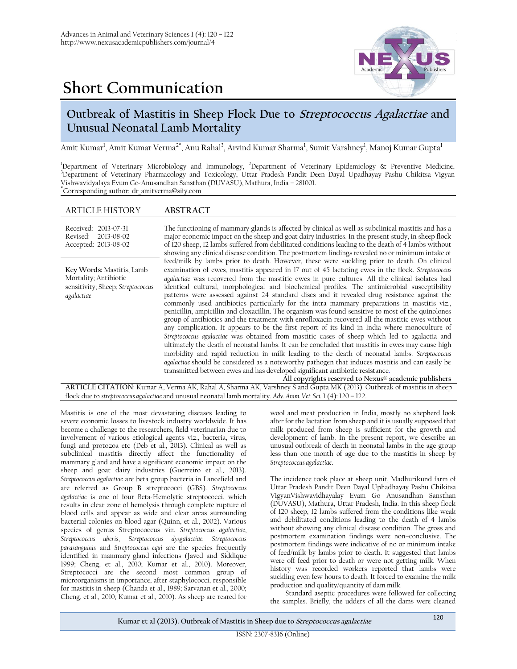# **Short Communication**



## **Outbreak of Mastitis in Sheep Flock Due to Streptococcus Agalactiae and Unusual Neonatal Lamb Mortality**

Amit Kumar<sup>1</sup>, Amit Kumar Verma<sup>2\*</sup>, Anu Rahal<sup>3</sup>, Arvind Kumar Sharma<sup>1</sup>, Sumit Varshney<sup>1</sup>, Manoj Kumar Gupta<sup>1</sup>

<sup>1</sup>Department of Veterinary Microbiology and Immunology, <sup>2</sup>Department of Veterinary Epidemiology & Preventive Medicine, <sup>3</sup>Department of Veterinary Pharmacology and Toxicology, Uttar Pradesh Pandit Deen Dayal Upadhayay Pashu Chikitsa Vigyan Vishwavidyalaya Evum Go-Anusandhan Sansthan (DUVASU), Mathura, India – 281001. **\***Corresponding author: dr\_amitverma@sify.com

### ARTICLE HISTORY **ABSTRACT**

| Received: 2013-07-31<br>Revised: 2013-08-02<br>Accepted: 2013-08-02                                                    | The functioning of mammary glands is affected by clinical as well as subclinical mastitis and has a<br>major economic impact on the sheep and goat dairy industries. In the present study, in sheep flock<br>of 120 sheep, 12 lambs suffered from debilitated conditions leading to the death of 4 lambs without<br>showing any clinical disease condition. The postmortem findings revealed no or minimum intake of                                                                                                                                                                                                                                                                                                                                                                                                                                                                                                                                                                                                                                                                                                                                                                                                                                                                                                                                                                                                                                            |
|------------------------------------------------------------------------------------------------------------------------|-----------------------------------------------------------------------------------------------------------------------------------------------------------------------------------------------------------------------------------------------------------------------------------------------------------------------------------------------------------------------------------------------------------------------------------------------------------------------------------------------------------------------------------------------------------------------------------------------------------------------------------------------------------------------------------------------------------------------------------------------------------------------------------------------------------------------------------------------------------------------------------------------------------------------------------------------------------------------------------------------------------------------------------------------------------------------------------------------------------------------------------------------------------------------------------------------------------------------------------------------------------------------------------------------------------------------------------------------------------------------------------------------------------------------------------------------------------------|
| Key Words: Mastitis; Lamb<br>Mortality; Antibiotic<br>sensitivity; Sheep; Streptococcus<br>agalactiae                  | feed/milk by lambs prior to death. However, these were suckling prior to death. On clinical<br>examination of ewes, mastitis appeared in 17 out of 45 lactating ewes in the flock. Streptococcus<br>agalactiae was recovered from the mastitic ewes in pure cultures. All the clinical isolates had<br>identical cultural, morphological and biochemical profiles. The antimicrobial susceptibility<br>patterns were assessed against 24 standard discs and it revealed drug resistance against the<br>commonly used antibiotics particularly for the intra mammary preparations in mastitis viz.,<br>penicillin, ampicillin and cloxacillin. The organism was found sensitive to most of the quinolones<br>group of antibiotics and the treatment with enrofloxacin recovered all the mastitic ewes without<br>any complication. It appears to be the first report of its kind in India where monoculture of<br>Streptococcus agalactiae was obtained from mastitic cases of sheep which led to agalactia and<br>ultimately the death of neonatal lambs. It can be concluded that mastitis in ewes may cause high<br>morbidity and rapid reduction in milk leading to the death of neonatal lambs. Streptococcus<br>agalactiae should be considered as a noteworthy pathogen that induces mastitis and can easily be<br>transmitted between ewes and has developed significant antibiotic resistance.<br>All copyrights reserved to Nexus® academic publishers |
| ARTICLE CITATION: Kumar A, Verma AK, Rahal A, Sharma AK, Varshney S and Gupta MK (2013). Outbreak of mastitis in sheep |                                                                                                                                                                                                                                                                                                                                                                                                                                                                                                                                                                                                                                                                                                                                                                                                                                                                                                                                                                                                                                                                                                                                                                                                                                                                                                                                                                                                                                                                 |

flock due to *streptococcus agalactiae* and unusual neonatal lamb mortality. *Adv. Anim. Vet. Sci.* 1 (4): 120 – 122.

Mastitis is one of the most devastating diseases leading to severe economic losses to livestock industry worldwide. It has become a challenge to the researchers, field veterinarian due to involvement of various etiological agents viz., bacteria, virus, fungi and protozoa etc (Deb et al., 2013). Clinical as well as subclinical mastitis directly affect the functionality of mammary gland and have a significant economic impact on the sheep and goat dairy industries (Guerreiro et al., 2013). *Streptococcus agalactiae* are beta group bacteria in Lancefield and are referred as Group B streptococci (GBS). *Streptococcus agalactiae* is one of four Beta-Hemolytic streptococci, which results in clear zone of hemolysis through complete rupture of blood cells and appear as wide and clear areas surrounding bacterial colonies on blood agar (Quinn, et al., 2002). Various species of genus Streptococcus viz. *Streptococcus agalactiae*, *Streptococcus uberis*, S*treptococcus dysgalactiae, Streptococcus parasanguinis* and *Streptococcus equi* are the species frequently identified in mammary gland infections (Javed and Siddique 1999; Cheng, et al., 2010; Kumar et al., 2010). Moreover, Streptococci are the second most common group of microorganisms in importance, after staphylococci, responsible for mastitisin sheep (Chanda et al., 1989; Sarvanan et al., 2000; Cheng, et al., 2010; Kumar et al., 2010). As sheep are reared for

wool and meat production in India, mostly no shepherd look after for the lactation from sheep and it is usually supposed that milk produced from sheep is sufficient for the growth and development of lamb. In the present report, we describe an unusual outbreak of death in neonatal lambs in the age group less than one month of age due to the mastitis in sheep by *Streptococcus agalactiae*.

The incidence took place at sheep unit, Madhurikund farm of Uttar Pradesh Pandit Deen Dayal Uphadhayay Pashu Chikitsa VigyanVishwavidhayalay Evam Go Anusandhan Sansthan (DUVASU), Mathura, Uttar Pradesh, India. In this sheep flock of 120 sheep, 12 lambs suffered from the conditions like weak and debilitated conditions leading to the death of 4 lambs without showing any clinical disease condition. The gross and postmortem examination findings were non–conclusive. The postmortem findings were indicative of no or minimum intake of feed/milk by lambs prior to death. It suggested that lambs were off feed prior to death or were not getting milk. When history was recorded workers reported that lambs were suckling even few hours to death. It forced to examine the milk production and quality/quantity of dam milk.

Standard aseptic procedures were followed for collecting the samples. Briefly, the udders of all the dams were cleaned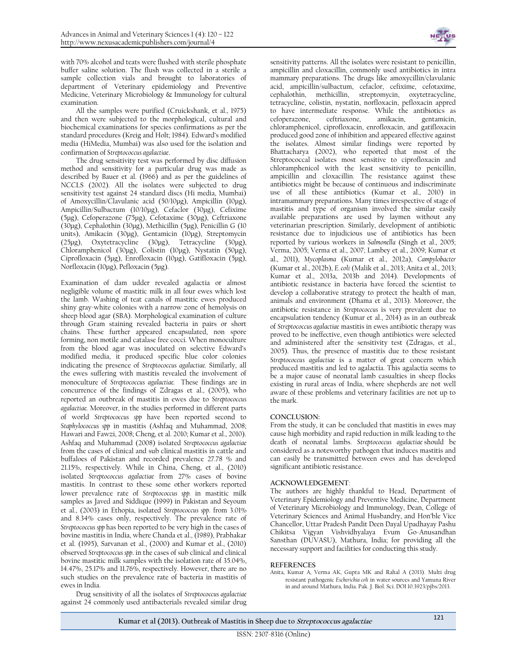with 70% alcohol and teats were flushed with sterile phosphate buffer saline solution. The flush was collected in a sterile a sample collection vials and brought to laboratories of department of Veterinary epidemiology and Preventive Medicine, Veterinary Microbiology & Immunology for cultural examination.

All the samples were purified (Cruickshank, et al., 1975) and then were subjected to the morphological, cultural and biochemical examinations for species confirmations as per the standard procedures (Kreig and Holt; 1984). Edward's modified media (HiMedia, Mumbai) was also used for the isolation and confirmation of *Streptococcus agalactiae*.

The drug sensitivity test was performed by disc diffusion method and sensitivity for a particular drug was made as described by Bauer et al. (1966) and as per the guidelines of NCCLS (2002). All the isolates were subjected to drug sensitivity test against 24 standard discs (Hi media, Mumbai) of Amoxycillin/Clavulanic acid (50/10µg), Ampicillin (10µg), Ampicillin/Sulbactum (10/10µg), Cefaclor (30µg), Cefixime (5µg), Cefoperazone (75µg), Cefotaxime (30µg), Ceftriaxone (30µg), Cephalothin (30µg), Methicillin (5µg), Penicillin G (10 units), Amikacin (30µg), Gentamicin (10µg), Streptomycin (25µg), Oxytetracycline (30µg), Tetracycline (30µg), Chloramphenicol (30µg), Colistin (10µg), Nystatin (50µg), Ciprofloxacin (5µg), Enrofloxacin (10µg), Gatifloxacin (5µg), Norfloxacin (10µg), Pefloxacin (5µg).

Examination of dam udder revealed agalactia or almost negligible volume of mastitic milk in all four ewes which lost the lamb. Washing of teat canals of mastitic ewes produced shiny gray-white colonies with a narrow zone of hemolysis on sheep blood agar (SBA). Morphological examination of culture through Gram staining revealed bacteria in pairs or short chains. These further appeared encapsulated, non spore forming, non motile and catalase free cocci. When monoculture from the blood agar was inoculated on selective Edward's modified media, it produced specific blue color colonies indicating the presence of *Streptococcus agalactiae.* Similarly, all the ewes suffering with mastitis revealed the involvement of monoculture of *Streptococcus agalactiae.* These findings are in concurrence of the findings of Zdragas et al., (2005), who reported an outbreak of mastitis in ewes due to *Streptococcus agalactiae.* Moreover, in the studies performed in different parts of world *Streptococcus spp* have been reported second to *Staphylococcus spp* in mastitis (Ashfaq and Muhammad, 2008; Hawari and Fawzi, 2008; Cheng, et al. 2010; Kumar et al., 2010). Ashfaq and Muhammad (2008) isolated *Streptococcus agalactiae* from the cases of clinical and sub clinical mastitis in cattle and buffaloes of Pakistan and recorded prevalence 27.78 % and 21.15%, respectively. While in China, Cheng, et al., (2010) isolated *Streptococcus agalactiae* from 27% cases of bovine mastitis. In contrast to these some other workers reported lower prevalence rate of *Streptococcus spp.* in mastitic milk samples as Javed and Siddique (1999) in Pakistan and Seyoum et al., (2003) in Ethopia, isolated *Streptococcus spp*. from 3.01% and 8.34% cases only, respectively. The prevalence rate of *Streptococcus spp* has been reported to be very high in the cases of bovine mastitis in India, where Chanda et al., (1989), Prabhakar et al. (1995), Sarvanan et al., (2000) and Kumar et al., (2010) observed *Streptococcus spp*. in the cases of sub clinical and clinical bovine mastitic milk samples with the isolation rate of 35.04%, 14.47%, 25.17% and 11.76%, respectively. However, there are no such studies on the prevalence rate of bacteria in mastitis of ewes in India.

Drug sensitivity of all the isolates of *Streptococcus agalactiae* against 24 commonly used antibacterials revealed similar drug



sensitivity patterns. All the isolates were resistant to penicillin, ampicillin and cloxacillin, commonly used antibiotics in intra mammary preparations. The drugs like amoxycillin/clavulanic acid, ampicillin/sulbactum, cefaclor, cefixime, cefotaxime, cephalothin, methicillin, streptomycin, oxytetracycline, tetracycline, colistin, nystatin, norfloxacin, pefloxacin appred to have intermediate response. While the antibiotics as cefoperazone, ceftriaxone, amikacin, gentamicin, chloramphenicol, ciprofloxacin, enrofloxacin, and gatifloxacin produced good zone of inhibition and appeared effective against the isolates. Almost similar findings were reported by Bhattacharya (2002), who reported that most of the Streptococcal isolates most sensitive to ciprofloxacin and chloramphenicol with the least sensitivity to penicillin, ampicillin and cloxacillin. The resistance against these antibiotics might be because of continuous and indiscriminate use of all these antibiotics (Kumar et al., 2010) in intramammary preparations. Many times irrespective of stage of mastitis and type of organism involved the similar easily available preparations are used by laymen without any veterinarian prescription. Similarly, development of antibiotic resistance due to injudicious use of antibiotics has been reported by various workers in *Salmonella* (Singh et al., 2005; Verma, 2005; Verma et al., 2007; Lambey et al., 2009; Kumar et al., 2011), *Mycoplasma* (Kumar et al., 2012a), *Campylobacter* (Kumar et al., 2012b), *E. coli* (Malik et al., 2013; Anita et al., 2013; Kumar et al., 2013a, 2013b and 2014). Developments of antibiotic resistance in bacteria have forced the scientist to develop a collaborative strategy to protect the health of man, animals and environment (Dhama et al., 2013). Moreover, the antibiotic resistance in *Streptococcus* is very prevalent due to encapsulation tendency (Kumar et al., 2014) as in an outbreak of *Streptococcus agalactiae* mastitis in ewes antibiotic therapy was proved to be ineffective, even though antibiotics were selected and administered after the sensitivity test (Zdragas, et al., 2005). Thus, the presence of mastitis due to these resistant *Streptococcus agalactiae* is a matter of great concern which produced mastitis and led to agalactia. This agalactia seems to be a major cause of neonatal lamb casualties in sheep flocks existing in rural areas of India, where shepherds are not well aware of these problems and veterinary facilities are not up to the mark.

#### **CONCLUSION:**

From the study, it can be concluded that mastitis in ewes may cause high morbidity and rapid reduction in milk leading to the death of neonatal lambs. *Streptococcus agalactiae* should be considered as a noteworthy pathogen that induces mastitis and can easily be transmitted between ewes and has developed significant antibiotic resistance.

#### **ACKNOWLEDGEMENT**:

The authors are highly thankful to Head, Department of Veterinary Epidemiology and Preventive Medicine, Department of Veterinary Microbiology and Immunology, Dean, College of Veterinary Sciences and Animal Husbandry, and Hon'ble Vice Chancellor, Uttar Pradesh Pandit Deen Dayal Upadhayay Pashu Chikitsa Vigyan Vishvidhyalaya Evum Go-Anusandhan Sansthan (DUVASU), Mathura, India; for providing all the necessary support and facilities for conducting this study.

#### **REFERENCES**

Anita, Kumar A, Verma AK, Gupta MK and Rahal A (2013). Multi drug resistant pathogenic *Escherichia coli* in water sources and Yamuna River in and around Mathura, India. Pak. J. Biol. Sci. DOI 10.3923/pjbs/2013.

**Kumar et al (2013). Outbreak of Mastitis in Sheep due to Streptococcus agalactiae**